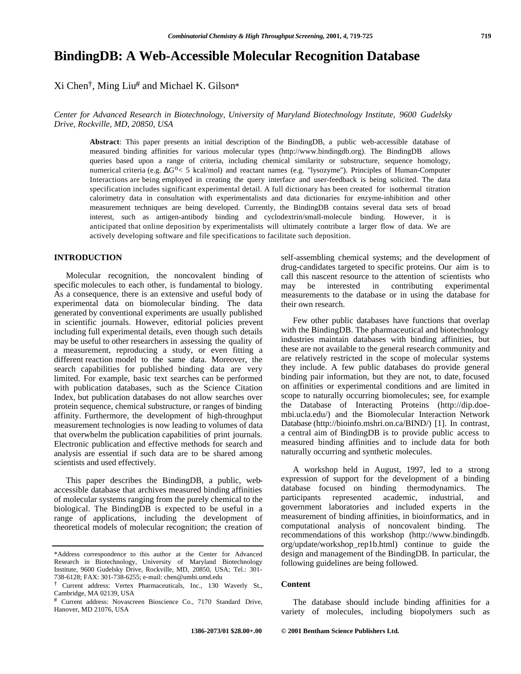# **BindingDB: A Web-Accessible Molecular Recognition Database**

Xi Chen†, Ming Liu# and Michael K. Gilson\*

### *Center for Advanced Research in Biotechnology, University of Maryland Biotechnology Institute, 9600 Gudelsky Drive, Rockville, MD, 20850, USA*

**Abstract**: This paper presents an initial description of the BindingDB, a public web-accessible database of measured binding affinities for various molecular types (http://www.bindingdb.org). The BindingDB allows queries based upon a range of criteria, including chemical similarity or substructure, sequence homology, numerical criteria (e.g.  $G^o < 5$  kcal/mol) and reactant names (e.g. "lysozyme"). Principles of Human-Computer Interactions are being employed in creating the query interface and user-feedback is being solicited. The data specification includes significant experimental detail. A full dictionary has been created for isothermal titration calorimetry data in consultation with experimentalists and data dictionaries for enzyme-inhibition and other measurement techniques are being developed. Currently, the BindingDB contains several data sets of broad interest, such as antigen-antibody binding and cyclodextrin/small-molecule binding. However, it is anticipated that online deposition by experimentalists will ultimately contribute a larger flow of data. We are actively developing software and file specifications to facilitate such deposition.

Molecular recognition, the noncovalent binding of specific molecules to each other, is fundamental to biology. As a consequence, there is an extensive and useful body of experimental data on biomolecular binding. The data generated by conventional experiments are usually published in scientific journals. However, editorial policies prevent including full experimental details, even though such details may be useful to other researchers in assessing the quality of a measurement, reproducing a study, or even fitting a different reaction model to the same data. Moreover, the search capabilities for published binding data are very limited. For example, basic text searches can be performed with publication databases, such as the Science Citation Index, but publication databases do not allow searches over protein sequence, chemical substructure, or ranges of binding affinity. Furthermore, the development of high-throughput measurement technologies is now leading to volumes of data that overwhelm the publication capabilities of print journals. Electronic publication and effective methods for search and analysis are essential if such data are to be shared among scientists and used effectively.

This paper describes the BindingDB, a public, webaccessible database that archives measured binding affinities of molecular systems ranging from the purely chemical to the biological. The BindingDB is expected to be useful in a range of applications, including the development of theoretical models of molecular recognition; the creation of

**INTRODUCTION** self-assembling chemical systems; and the development of drug-candidates targeted to specific proteins. Our aim is to call this nascent resource to the attention of scientists who may be interested in contributing experimental measurements to the database or in using the database for their own research.

> Few other public databases have functions that overlap with the BindingDB. The pharmaceutical and biotechnology industries maintain databases with binding affinities, but these are not available to the general research community and are relatively restricted in the scope of molecular systems they include. A few public databases do provide general binding pair information, but they are not, to date, focused on affinities or experimental conditions and are limited in scope to naturally occurring biomolecules; see, for example the Database of Interacting Proteins (http://dip.doembi.ucla.edu/) and the Biomolecular Interaction Network Database (http://bioinfo.mshri.on.ca/BIND/) [1]. In contrast, a central aim of BindingDB is to provide public access to measured binding affinities and to include data for both naturally occurring and synthetic molecules.

> A workshop held in August, 1997, led to a strong expression of support for the development of a binding database focused on binding thermodynamics. The participants represented academic, industrial, and government laboratories and included experts in the measurement of binding affinities, in bioinformatics, and in computational analysis of noncovalent binding. The recommendations of this workshop (http://www.bindingdb. org/update/workshop\_rep1b.html) continue to guide the design and management of the BindingDB. In particular, the following guidelines are being followed.

The database should include binding affinities for a variety of molecules, including biopolymers such as

<sup>\*</sup>Address correspondence to this author at the Center for Advanced Research in Biotechnology, University of Maryland Biotechnology Institute, 9600 Gudelsky Drive, Rockville, MD, 20850, USA; Tel.: 301- 738-6128; FAX: 301-738-6255; e-mail: chen@umbi.umd.edu

<sup>&</sup>lt;sup>†</sup> Current address: Vertex Pharmaceuticals, Inc., 130 Waverly St., **Content** Cambridge, MA 02139, USA

<sup>#</sup> Current address: Novascreen Bioscience Co., 7170 Standard Drive, Hanover, MD 21076, USA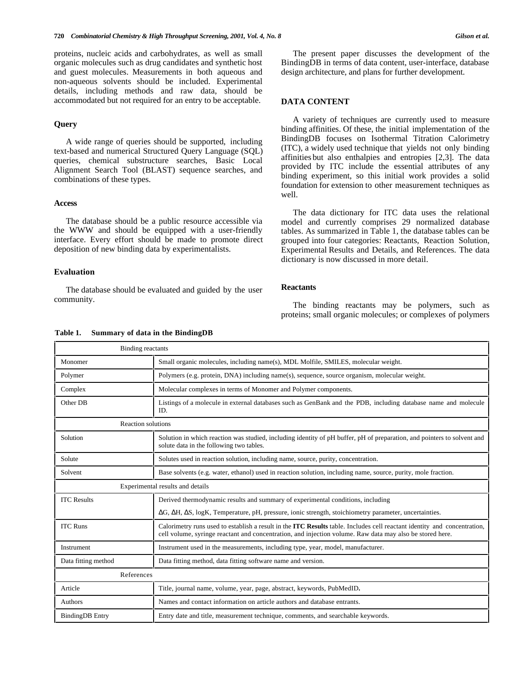proteins, nucleic acids and carbohydrates, as well as small organic molecules such as drug candidates and synthetic host and guest molecules. Measurements in both aqueous and non-aqueous solvents should be included. Experimental details, including methods and raw data, should be accommodated but not required for an entry to be acceptable.

A wide range of queries should be supported, including text-based and numerical Structured Query Language (SQL) queries, chemical substructure searches, Basic Local Alignment Search Tool (BLAST) sequence searches, and combinations of these types.

### **Access**

The database should be a public resource accessible via the WWW and should be equipped with a user-friendly interface. Every effort should be made to promote direct deposition of new binding data by experimentalists.

### **Evaluation**

The database should be evaluated and guided by the user **Reactants** community.

**Table 1. Summary of data in the BindingDB**

### The present paper discusses the development of the BindingDB in terms of data content, user-interface, database design architecture, and plans for further development.

### **DATA CONTENT**

**Query** A variety of techniques are currently used to measure binding affinities. Of these, the initial implementation of the BindingDB focuses on Isothermal Titration Calorimetry (ITC), a widely used technique that yields not only binding affinities but also enthalpies and entropies [2,3]. The data provided by ITC include the essential attributes of any binding experiment, so this initial work provides a solid foundation for extension to other measurement techniques as well.

> The data dictionary for ITC data uses the relational model and currently comprises 29 normalized database tables. As summarized in Table 1, the database tables can be grouped into four categories: Reactants, Reaction Solution, Experimental Results and Details, and References. The data dictionary is now discussed in more detail.

The binding reactants may be polymers, such as proteins; small organic molecules; or complexes of polymers

| таріе т. |  | Summary of data in the Binding DB |  |
|----------|--|-----------------------------------|--|
|----------|--|-----------------------------------|--|

| <b>Binding reactants</b>         |                                                                                                                                                                                                                                             |  |
|----------------------------------|---------------------------------------------------------------------------------------------------------------------------------------------------------------------------------------------------------------------------------------------|--|
| Monomer                          | Small organic molecules, including name(s), MDL Molfile, SMILES, molecular weight.                                                                                                                                                          |  |
| Polymer                          | Polymers (e.g. protein, DNA) including name(s), sequence, source organism, molecular weight.                                                                                                                                                |  |
| Complex                          | Molecular complexes in terms of Monomer and Polymer components.                                                                                                                                                                             |  |
| Other DB                         | Listings of a molecule in external databases such as GenBank and the PDB, including database name and molecule<br>ID.                                                                                                                       |  |
| <b>Reaction solutions</b>        |                                                                                                                                                                                                                                             |  |
| Solution                         | Solution in which reaction was studied, including identity of pH buffer, pH of preparation, and pointers to solvent and<br>solute data in the following two tables.                                                                         |  |
| Solute                           | Solutes used in reaction solution, including name, source, purity, concentration.                                                                                                                                                           |  |
| Solvent                          | Base solvents (e.g. water, ethanol) used in reaction solution, including name, source, purity, mole fraction.                                                                                                                               |  |
| Experimental results and details |                                                                                                                                                                                                                                             |  |
| <b>ITC</b> Results               | Derived thermodynamic results and summary of experimental conditions, including                                                                                                                                                             |  |
|                                  | G, H, S, logK, Temperature, pH, pressure, ionic strength, stoichiometry parameter, uncertainties.                                                                                                                                           |  |
| <b>ITC Runs</b>                  | Calorimetry runs used to establish a result in the <b>ITC Results</b> table. Includes cell reactant identity and concentration,<br>cell volume, syringe reactant and concentration, and injection volume. Raw data may also be stored here. |  |
| Instrument                       | Instrument used in the measurements, including type, year, model, manufacturer.                                                                                                                                                             |  |
| Data fitting method              | Data fitting method, data fitting software name and version.                                                                                                                                                                                |  |
| References                       |                                                                                                                                                                                                                                             |  |
| Article                          | Title, journal name, volume, year, page, abstract, keywords, PubMedID.                                                                                                                                                                      |  |
| Authors                          | Names and contact information on article authors and database entrants.                                                                                                                                                                     |  |
| <b>BindingDB</b> Entry           | Entry date and title, measurement technique, comments, and searchable keywords.                                                                                                                                                             |  |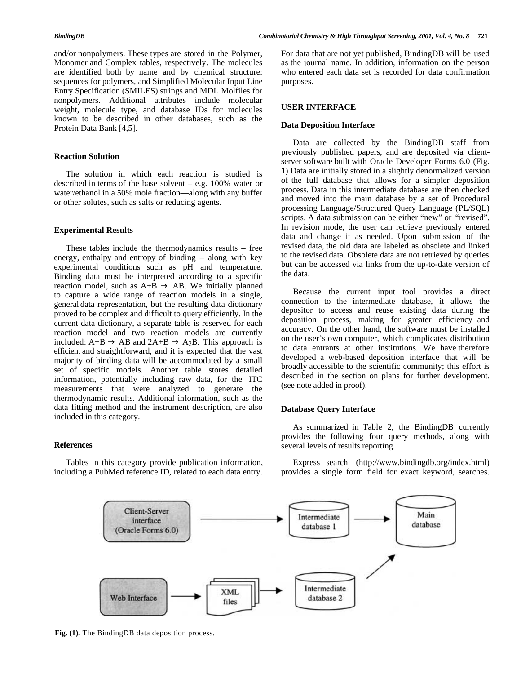and/or nonpolymers. These types are stored in the Polymer, Monomer and Complex tables, respectively. The molecules are identified both by name and by chemical structure: sequences for polymers, and Simplified Molecular Input Line Entry Specification (SMILES) strings and MDL Molfiles for nonpolymers. Additional attributes include molecular weight, molecule type, and database IDs for molecules known to be described in other databases, such as the Protein Data Bank [4,5].

### **Reaction Solution**

The solution in which each reaction is studied is described in terms of the base solvent – e.g. 100% water or water/ethanol in a 50% mole fraction—along with any buffer or other solutes, such as salts or reducing agents.

### **Experimental Results**

These tables include the thermodynamics results – free energy, enthalpy and entropy of binding – along with key experimental conditions such as pH and temperature. Binding data must be interpreted according to a specific reaction model, such as  $A+B$  AB. We initially planned reaction model, such as  $A+B$ to capture a wide range of reaction models in a single, general data representation, but the resulting data dictionary proved to be complex and difficult to query efficiently. In the current data dictionary, a separate table is reserved for each reaction model and two reaction models are currently included:  $A+B$  AB and  $2A+B$  A<sub>2</sub>B. This approach is efficient and straightforward, and it is expected that the vast majority of binding data will be accommodated by a small set of specific models. Another table stores detailed information, potentially including raw data, for the ITC measurements that were analyzed to generate the thermodynamic results. Additional information, such as the data fitting method and the instrument description, are also included in this category.

Tables in this category provide publication information, including a PubMed reference ID, related to each data entry. For data that are not yet published, BindingDB will be used as the journal name. In addition, information on the person who entered each data set is recorded for data confirmation purposes.

### **USER INTERFACE**

### **Data Deposition Interface**

Data are collected by the BindingDB staff from previously published papers, and are deposited via clientserver software built with Oracle Developer Forms 6.0 (Fig. **1**) Data are initially stored in a slightly denormalized version of the full database that allows for a simpler deposition process. Data in this intermediate database are then checked and moved into the main database by a set of Procedural processing Language/Structured Query Language (PL/SQL) scripts. A data submission can be either "new" or "revised". In revision mode, the user can retrieve previously entered data and change it as needed. Upon submission of the revised data, the old data are labeled as obsolete and linked to the revised data. Obsolete data are not retrieved by queries but can be accessed via links from the up-to-date version of the data.

Because the current input tool provides a direct connection to the intermediate database, it allows the depositor to access and reuse existing data during the deposition process, making for greater efficiency and accuracy. On the other hand, the software must be installed on the user's own computer, which complicates distribution to data entrants at other institutions. We have therefore developed a web-based deposition interface that will be broadly accessible to the scientific community; this effort is described in the section on plans for further development. (see note added in proof).

### **Database Query Interface**

As summarized in Table 2, the BindingDB currently provides the following four query methods, along with **References** several levels of results reporting.

> Express search (http://www.bindingdb.org/index.html) provides a single form field for exact keyword, searches.



**Fig. (1).** The BindingDB data deposition process.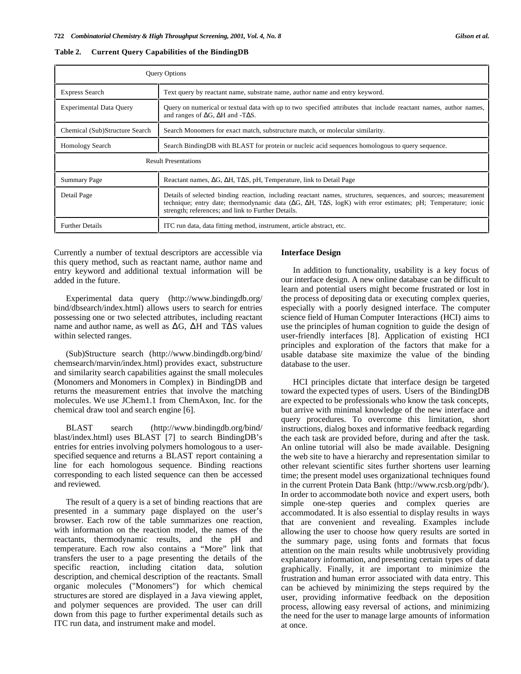| <b>Query Options</b>           |                                                                                                                                                                                                                                                                                   |  |
|--------------------------------|-----------------------------------------------------------------------------------------------------------------------------------------------------------------------------------------------------------------------------------------------------------------------------------|--|
| <b>Express Search</b>          | Text query by reactant name, substrate name, author name and entry keyword.                                                                                                                                                                                                       |  |
| <b>Experimental Data Query</b> | Query on numerical or textual data with up to two specified attributes that include reactant names, author names,<br>and ranges of G, H and -T S.                                                                                                                                 |  |
| Chemical (Sub)Structure Search | Search Monomers for exact match, substructure match, or molecular similarity.                                                                                                                                                                                                     |  |
| <b>Homology Search</b>         | Search Binding DB with BLAST for protein or nucleic acid sequences homologous to query sequence.                                                                                                                                                                                  |  |
|                                | <b>Result Presentations</b>                                                                                                                                                                                                                                                       |  |
| <b>Summary Page</b>            | Reactant names, G, H, T S, pH, Temperature, link to Detail Page                                                                                                                                                                                                                   |  |
| Detail Page                    | Details of selected binding reaction, including reactant names, structures, sequences, and sources; measurement<br>technique; entry date; thermodynamic data (G, H, T S, logK) with error estimates; pH; Temperature; ionic<br>strength; references; and link to Further Details. |  |
| <b>Further Details</b>         | ITC run data, data fitting method, instrument, article abstract, etc.                                                                                                                                                                                                             |  |

|  |  |  | Table 2. Current Query Capabilities of the BindingDB |  |  |
|--|--|--|------------------------------------------------------|--|--|
|--|--|--|------------------------------------------------------|--|--|

Currently a number of textual descriptors are accessible via this query method, such as reactant name, author name and entry keyword and additional textual information will be added in the future.

Experimental data query (http://www.bindingdb.org/ bind/dbsearch/index.html) allows users to search for entries possessing one or two selected attributes, including reactant name and author name, as well as G, H and T S values within selected ranges.

(Sub)Structure search (http://www.bindingdb.org/bind/ chemsearch/marvin/index.html) provides exact, substructure and similarity search capabilities against the small molecules (Monomers and Monomers in Complex) in BindingDB and returns the measurement entries that involve the matching molecules. We use JChem1.1 from ChemAxon, Inc. for the chemical draw tool and search engine [6].

BLAST search (http://www.bindingdb.org/bind/ blast/index.html) uses BLAST [7] to search BindingDB's entries for entries involving polymers homologous to a userspecified sequence and returns a BLAST report containing a line for each homologous sequence. Binding reactions corresponding to each listed sequence can then be accessed and reviewed.

The result of a query is a set of binding reactions that are presented in a summary page displayed on the user's browser. Each row of the table summarizes one reaction, with information on the reaction model, the names of the reactants, thermodynamic results, and the pH and temperature. Each row also contains a "More" link that transfers the user to a page presenting the details of the specific reaction, including citation data, solution description, and chemical description of the reactants. Small organic molecules ("Monomers") for which chemical structures are stored are displayed in a Java viewing applet, and polymer sequences are provided. The user can drill down from this page to further experimental details such as ITC run data, and instrument make and model.

### **Interface Design**

In addition to functionality, usability is a key focus of our interface design. A new online database can be difficult to learn and potential users might become frustrated or lost in the process of depositing data or executing complex queries, especially with a poorly designed interface. The computer science field of Human Computer Interactions (HCI) aims to use the principles of human cognition to guide the design of user-friendly interfaces [8]. Application of existing HCI principles and exploration of the factors that make for a usable database site maximize the value of the binding database to the user.

HCI principles dictate that interface design be targeted toward the expected types of users. Users of the BindingDB are expected to be professionals who know the task concepts, but arrive with minimal knowledge of the new interface and query procedures. To overcome this limitation, short instructions, dialog boxes and informative feedback regarding the each task are provided before, during and after the task. An online tutorial will also be made available. Designing the web site to have a hierarchy and representation similar to other relevant scientific sites further shortens user learning time; the present model uses organizational techniques found in the current Protein Data Bank (http://www.rcsb.org/pdb/). In order to accommodate both novice and expert users, both simple one-step queries and complex queries are accommodated. It is also essential to display results in ways that are convenient and revealing. Examples include allowing the user to choose how query results are sorted in the summary page, using fonts and formats that focus attention on the main results while unobtrusively providing explanatory information, and presenting certain types of data graphically. Finally, it are important to minimize the frustration and human error associated with data entry. This can be achieved by minimizing the steps required by the user, providing informative feedback on the deposition process, allowing easy reversal of actions, and minimizing the need for the user to manage large amounts of information at once.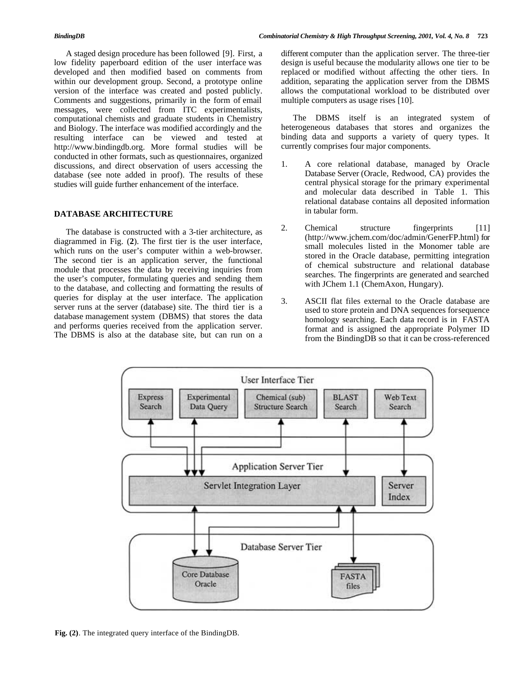A staged design procedure has been followed [9]. First, a low fidelity paperboard edition of the user interface was developed and then modified based on comments from within our development group. Second, a prototype online version of the interface was created and posted publicly. Comments and suggestions, primarily in the form of email messages, were collected from ITC experimentalists, computational chemists and graduate students in Chemistry and Biology. The interface was modified accordingly and the resulting interface can be viewed and tested at http://www.bindingdb.org. More formal studies will be conducted in other formats, such as questionnaires, organized discussions, and direct observation of users accessing the database (see note added in proof). The results of these studies will guide further enhancement of the interface.

## in tabular form. **DATABASE ARCHITECTURE**

The database is constructed with a 3-tier architecture, as diagrammed in Fig. (**2**). The first tier is the user interface, which runs on the user's computer within a web-browser. The second tier is an application server, the functional module that processes the data by receiving inquiries from the user's computer, formulating queries and sending them to the database, and collecting and formatting the results of queries for display at the user interface. The application server runs at the server (database) site. The third tier is a database management system (DBMS) that stores the data and performs queries received from the application server. The DBMS is also at the database site, but can run on a

different computer than the application server. The three-tier design is useful because the modularity allows one tier to be replaced or modified without affecting the other tiers. In addition, separating the application server from the DBMS allows the computational workload to be distributed over multiple computers as usage rises [10].

The DBMS itself is an integrated system of heterogeneous databases that stores and organizes the binding data and supports a variety of query types. It currently comprises four major components.

- 1. A core relational database, managed by Oracle Database Server (Oracle, Redwood, CA) provides the central physical storage for the primary experimental and molecular data described in Table 1. This relational database contains all deposited information
- 2. Chemical structure fingerprints [11] (http://www.jchem.com/doc/admin/GenerFP.html) for small molecules listed in the Monomer table are stored in the Oracle database, permitting integration of chemical substructure and relational database searches. The fingerprints are generated and searched with JChem 1.1 (ChemAxon, Hungary).
- 3. ASCII flat files external to the Oracle database are used to store protein and DNA sequences for sequence homology searching. Each data record is in FASTA format and is assigned the appropriate Polymer ID from the BindingDB so that it can be cross-referenced



**Fig. (2)**. The integrated query interface of the BindingDB.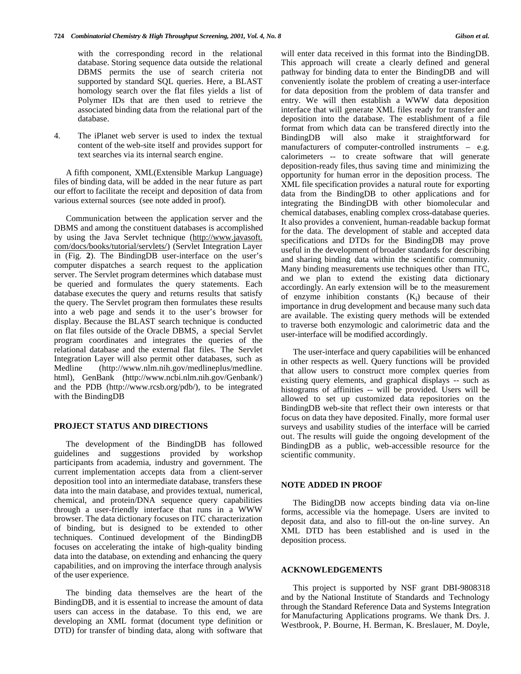with the corresponding record in the relational database. Storing sequence data outside the relational DBMS permits the use of search criteria not supported by standard SQL queries. Here, a BLAST homology search over the flat files yields a list of Polymer IDs that are then used to retrieve the associated binding data from the relational part of the database.

4. The iPlanet web server is used to index the textual content of the web-site itself and provides support for text searches via its internal search engine.

A fifth component, XML(Extensible Markup Language) files of binding data, will be added in the near future as part our effort to facilitate the receipt and deposition of data from various external sources (see note added in proof).

Communication between the application server and the DBMS and among the constituent databases is accomplished by using the Java Servlet technique (http://www.javasoft. com/docs/books/tutorial/servlets/) (Servlet Integration Layer in (Fig. **2**). The BindingDB user-interface on the user's computer dispatches a search request to the application server. The Servlet program determines which database must be queried and formulates the query statements. Each database executes the query and returns results that satisfy the query. The Servlet program then formulates these results into a web page and sends it to the user's browser for display. Because the BLAST search technique is conducted on flat files outside of the Oracle DBMS, a special Servlet program coordinates and integrates the queries of the relational database and the external flat files. The Servlet Integration Layer will also permit other databases, such as Medline (http://www.nlm.nih.gov/medlineplus/medline. html), GenBank (http://www.ncbi.nlm.nih.gov/Genbank/) and the PDB (http://www.rcsb.org/pdb/), to be integrated with the BindingDB

### **PROJECT STATUS AND DIRECTIONS**

The development of the BindingDB has followed guidelines and suggestions provided by workshop participants from academia, industry and government. The current implementation accepts data from a client-server deposition tool into an intermediate database, transfers these data into the main database, and provides textual, numerical, chemical, and protein/DNA sequence query capabilities through a user-friendly interface that runs in a WWW browser. The data dictionary focuses on ITC characterization of binding, but is designed to be extended to other techniques. Continued development of the BindingDB focuses on accelerating the intake of high-quality binding data into the database, on extending and enhancing the query capabilities, and on improving the interface through analysis of the user experience.

The binding data themselves are the heart of the BindingDB, and it is essential to increase the amount of data users can access in the database. To this end, we are developing an XML format (document type definition or DTD) for transfer of binding data, along with software that

will enter data received in this format into the BindingDB. This approach will create a clearly defined and general pathway for binding data to enter the BindingDB and will conveniently isolate the problem of creating a user-interface for data deposition from the problem of data transfer and entry. We will then establish a WWW data deposition interface that will generate XML files ready for transfer and deposition into the database. The establishment of a file format from which data can be transfered directly into the BindingDB will also make it straightforward for manufacturers of computer-controlled instruments – e.g. calorimeters -- to create software that will generate deposition-ready files, thus saving time and minimizing the opportunity for human error in the deposition process. The XML file specification provides a natural route for exporting data from the BindingDB to other applications and for integrating the BindingDB with other biomolecular and chemical databases, enabling complex cross-database queries. It also provides a convenient, human-readable backup format for the data. The development of stable and accepted data specifications and DTDs for the BindingDB may prove useful in the development of broader standards for describing and sharing binding data within the scientific community. Many binding measurements use techniques other than ITC, and we plan to extend the existing data dictionary accordingly. An early extension will be to the measurement of enzyme inhibition constants  $(K_i)$  because of their importance in drug development and because many such data are available. The existing query methods will be extended to traverse both enzymologic and calorimetric data and the user-interface will be modified accordingly.

The user-interface and query capabilities will be enhanced in other respects as well. Query functions will be provided that allow users to construct more complex queries from existing query elements, and graphical displays -- such as histograms of affinities -- will be provided. Users will be allowed to set up customized data repositories on the BindingDB web-site that reflect their own interests or that focus on data they have deposited. Finally, more formal user surveys and usability studies of the interface will be carried out. The results will guide the ongoing development of the BindingDB as a public, web-accessible resource for the scientific community.

### **NOTE ADDED IN PROOF**

The BidingDB now accepts binding data via on-line forms, accessible via the homepage. Users are invited to deposit data, and also to fill-out the on-line survey. An XML DTD has been established and is used in the deposition process.

### **ACKNOWLEDGEMENTS**

This project is supported by NSF grant DBI-9808318 and by the National Institute of Standards and Technology through the Standard Reference Data and Systems Integration for Manufacturing Applications programs. We thank Drs. J. Westbrook, P. Bourne, H. Berman, K. Breslauer, M. Doyle,